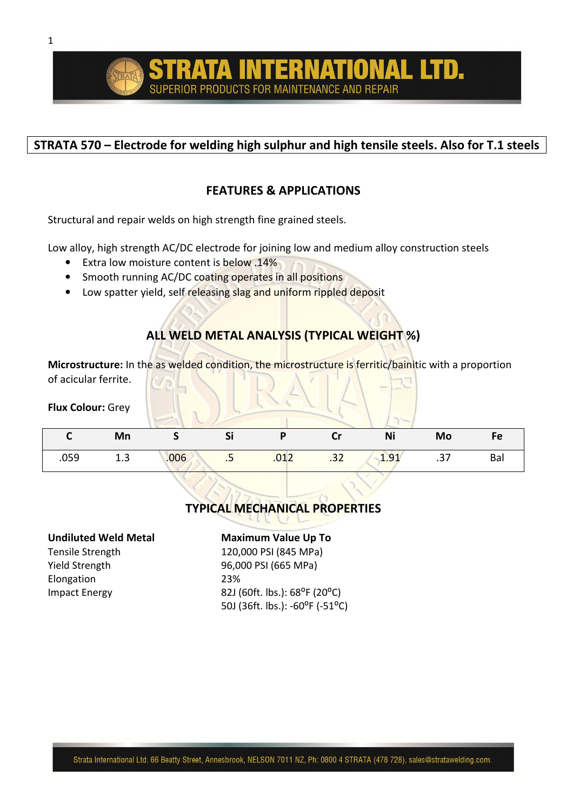## **STRATA 570 – Electrode for welding high sulphur and high tensile steels. Also for T.1 steels**

## **FEATURES & APPLICATIONS**

Structural and repair welds on high strength fine grained steels.

Low alloy, high strength AC/DC electrode for joining low and medium alloy construction steels

- Extra low moisture content is below .14%
- Smooth running AC/DC coating operates in all positions
- Low spatter yield, self releasing slag and uniform rippled deposit

# **ALL WELD METAL ANALYSIS (TYPICAL WEIGHT %)**

**Microstructure:** In the as welded condition, the microstructure is ferritic/bainitic with a proportion of acicular ferrite.

### **Flux Colour:** Grey

|      | Mn  |      |    |      |     | Ni   | Mo  |     |
|------|-----|------|----|------|-----|------|-----|-----|
| .059 | 1.3 | .006 | .5 | .012 | .32 | 1.91 | .37 | Bal |

# **TYPICAL MECHANICAL PROPERTIES**

Elongation 23%

### **Undiluted Weld Metal Maximum Value Up To**

Tensile Strength 120,000 PSI (845 MPa) Yield Strength 96,000 PSI (665 MPa) Impact Energy 82J (60ft. lbs.): 68<sup>o</sup>F (20<sup>o</sup>C) 50J (36ft. lbs.): -60°F (-51°C)